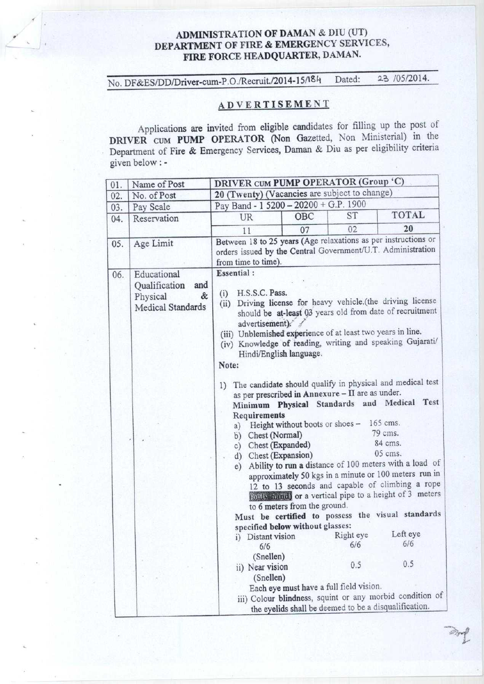## ADMINISTRATION OF DAMAN & DIU (UT) DEPARTMENT OF FIRE & EMERGENCY SERVICES, **FIRE** FORCE HEADQUARTER, DAMAN.

No. DF&ES/DD/Driver-cum-P.O./Recruit./2014-15/I\$ti Dated: 23 /05/2014.

# ADVERTISEMENT

Applications are invited from eligible candidates for filling up the post of DRIVER cum PUMP OPERATOR (Non Gazetted, Non Ministerial) in the Department of Fire & Emergency Services, Daman & Diu as per eligibility criteria given below : -

| 01. | Name of Post                                                              | DRIVER CUM PUMP OPERATOR (Group 'C)                                                                                                                                                     |                                                                                                                                                                                                                                                                                                                                                                                                                                                                                                                                                                                                                                                                                                                                                                                                                                                                                                                                                                                                                                                                                                                                                                                                                                                |           |              |  |
|-----|---------------------------------------------------------------------------|-----------------------------------------------------------------------------------------------------------------------------------------------------------------------------------------|------------------------------------------------------------------------------------------------------------------------------------------------------------------------------------------------------------------------------------------------------------------------------------------------------------------------------------------------------------------------------------------------------------------------------------------------------------------------------------------------------------------------------------------------------------------------------------------------------------------------------------------------------------------------------------------------------------------------------------------------------------------------------------------------------------------------------------------------------------------------------------------------------------------------------------------------------------------------------------------------------------------------------------------------------------------------------------------------------------------------------------------------------------------------------------------------------------------------------------------------|-----------|--------------|--|
| 02. | No. of Post                                                               | 20 (Twenty) (Vacancies are subject to change)                                                                                                                                           |                                                                                                                                                                                                                                                                                                                                                                                                                                                                                                                                                                                                                                                                                                                                                                                                                                                                                                                                                                                                                                                                                                                                                                                                                                                |           |              |  |
| 03. | Pay Scale                                                                 | Pay Band - 1 5200 - 20200 + G.P. 1900                                                                                                                                                   |                                                                                                                                                                                                                                                                                                                                                                                                                                                                                                                                                                                                                                                                                                                                                                                                                                                                                                                                                                                                                                                                                                                                                                                                                                                |           |              |  |
| 04. | Reservation                                                               | UR                                                                                                                                                                                      | OBC                                                                                                                                                                                                                                                                                                                                                                                                                                                                                                                                                                                                                                                                                                                                                                                                                                                                                                                                                                                                                                                                                                                                                                                                                                            | <b>ST</b> | <b>TOTAL</b> |  |
|     |                                                                           | 11                                                                                                                                                                                      | 07                                                                                                                                                                                                                                                                                                                                                                                                                                                                                                                                                                                                                                                                                                                                                                                                                                                                                                                                                                                                                                                                                                                                                                                                                                             | 02        | 20           |  |
| 05. | Age Limit                                                                 | Between 18 to 25 years (Age relaxations as per instructions or<br>from time to time).                                                                                                   |                                                                                                                                                                                                                                                                                                                                                                                                                                                                                                                                                                                                                                                                                                                                                                                                                                                                                                                                                                                                                                                                                                                                                                                                                                                |           |              |  |
| 06. | Educational<br>Oualification<br>and<br>&<br>Physical<br>Medical Standards | <b>Essential:</b><br>(i)<br>(ii)<br>Note:<br>a)<br>e)<br>i)<br>6/6<br>iii) Colour blindness, squint or any morbid condition of<br>the eyelids shall be deemed to be a disqualification. | orders issued by the Central Government/U.T. Administration<br>H.S.S.C. Pass.<br>Driving license for heavy vehicle.(the driving license<br>should be at-least 03 years old from date of recruitment<br>advertisement). /<br>(iii) Unblemished experience of at least two years in line.<br>(iv) Knowledge of reading, writing and speaking Gujarati/<br>Hindi/English language.<br>1) The candidate should qualify in physical and medical test<br>as per prescribed in Annexure - II are as under.<br>Minimum Physical Standards and Medical Test<br>Requirements<br>165 cms.<br>Height without boots or shoes -<br>79 cms.<br>b) Chest (Normal)<br>84 cms.<br>c) Chest (Expanded)<br>05 cms.<br>d) Chest (Expansion)<br>Ability to run a distance of 100 meters with a load of<br>approximately 50 kgs in a minute or 100 meters run in<br>12 to 13 seconds and capable of climbing a rope<br>(only hand) or a vertical pipe to a height of 3 meters<br>to 6 meters from the ground.<br>Must be certified to possess the visual standards<br>specified below without glasses:<br>Left eye<br>Right eye<br>Distant vision<br>6/6<br>6/6<br>(Snellen)<br>0.5<br>0.5<br>ii) Near vision<br>(Snellen)<br>Each eye must have a full field vision. |           |              |  |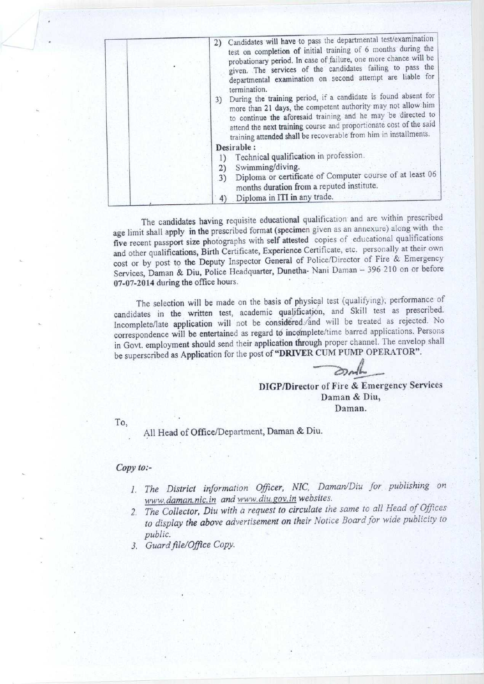| 2) Candidates will have to pass the departmental test/examination<br>test on completion of initial training of 6 months during the<br>probationary period. In case of failure, one more chance will be<br>given. The services of the candidates failing to pass the<br>departmental examination on second attempt are liable for<br>termination.<br>3) During the training period, if a candidate is found absent for<br>more than 21 days, the competent authority may not allow him<br>to continue the aforesaid training and he may be directed to<br>attend the next training course and proportionate cost of the said<br>training attended shall be recoverable from him in installments. |
|-------------------------------------------------------------------------------------------------------------------------------------------------------------------------------------------------------------------------------------------------------------------------------------------------------------------------------------------------------------------------------------------------------------------------------------------------------------------------------------------------------------------------------------------------------------------------------------------------------------------------------------------------------------------------------------------------|
| Desirable:                                                                                                                                                                                                                                                                                                                                                                                                                                                                                                                                                                                                                                                                                      |
| Technical qualification in profession.                                                                                                                                                                                                                                                                                                                                                                                                                                                                                                                                                                                                                                                          |
| Swimming/diving.<br>2)                                                                                                                                                                                                                                                                                                                                                                                                                                                                                                                                                                                                                                                                          |
| Diploma or certificate of Computer course of at least 06<br>3)<br>months duration from a reputed institute.                                                                                                                                                                                                                                                                                                                                                                                                                                                                                                                                                                                     |
| Diploma in ITI in any trade.<br>4)                                                                                                                                                                                                                                                                                                                                                                                                                                                                                                                                                                                                                                                              |

The candidates having requisite educational qualification and are within prescribed age limit shall apply **in the** prescribed format (specimen given as an annexure) along with the five recent passport **size** photographs with self attested copies of educational qualifications and other qualifications, Birth Certificate, Experience Certificate, etc. personally at their own cost or by post to the Deputy Inspector General of Police/Director of Fire & Emergency Services, Daman & Diu, Police Headquarter, Dunetha- Nani Daman - 396 210 on or before 07-07-2014 during the office hours.

The selection will be made on the basis of physical test (qualifying); performance of candidates in the written test, academic qualification, and Skill test as prescribed. Incomplete/late application will not be considered. And will be treated as rejected. No correspondence will be entertained as regard to incomplete/time barred applications. Persons in Govt. employment should send their application through proper channel. The envelop shall be superscribed as Application for the post of "DRIVER CUM PUMP OPERATOR".

DIGP/**Director** of Fire & Emergency **Services** Daman & Diu, Daman.

To,

All Head of Office/Department**, Daman & Diu.**

#### *Copy to--*

- *1. The District information Officer, NIC, Daman/Diu for publishing on* **www.** *daman. nie. in and* www. diu. **gov.** *in webs ites.*
- *2. The Collector, Diu with a request to circulate the same to all Head of Offices to display the above advertisement on their Notice Board for wide publicity to public.*
- 3. Guard file/Office Copy.